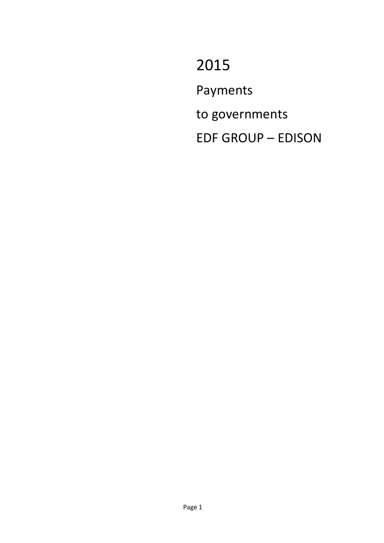2015 Payments to governments EDF GROUP – EDISON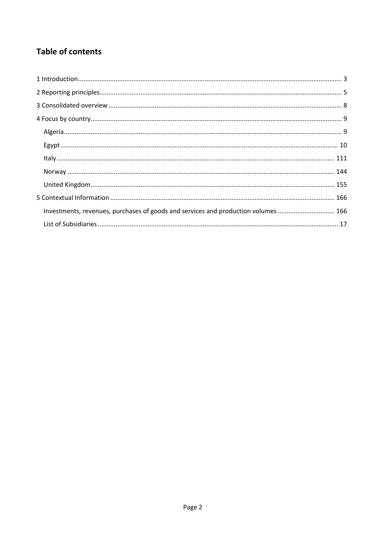# **Table of contents**

| Investments, revenues, purchases of goods and services and production volumes 166 |  |
|-----------------------------------------------------------------------------------|--|
|                                                                                   |  |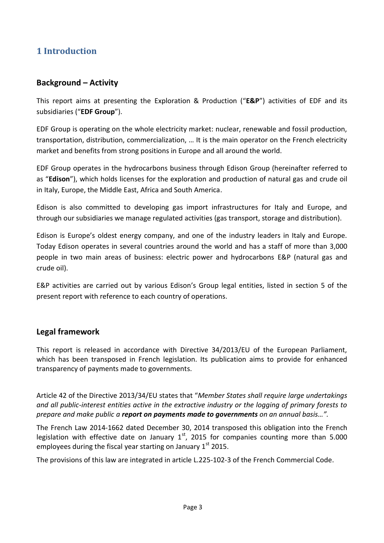# <span id="page-2-0"></span>**1 Introduction**

## **Background – Activity**

This report aims at presenting the Exploration & Production ("**E&P**") activities of EDF and its subsidiaries ("**EDF Group**").

EDF Group is operating on the whole electricity market: nuclear, renewable and fossil production, transportation, distribution, commercialization, … It is the main operator on the French electricity market and benefits from strong positions in Europe and all around the world.

EDF Group operates in the hydrocarbons business through Edison Group (hereinafter referred to as "**Edison**"), which holds licenses for the exploration and production of natural gas and crude oil in Italy, Europe, the Middle East, Africa and South America.

Edison is also committed to developing gas import infrastructures for Italy and Europe, and through our subsidiaries we manage regulated activities (gas transport, storage and distribution).

Edison is Europe's oldest energy company, and one of the industry leaders in Italy and Europe. Today Edison operates in several countries around the world and has a staff of more than 3,000 people in two main areas of business: electric power and hydrocarbons E&P (natural gas and crude oil).

E&P activities are carried out by various Edison's Group legal entities, listed in section 5 of the present report with reference to each country of operations.

## **Legal framework**

This report is released in accordance with Directive 34/2013/EU of the European Parliament, which has been transposed in French legislation. Its publication aims to provide for enhanced transparency of payments made to governments.

Article 42 of the Directive 2013/34/EU states that "*Member States shall require large undertakings and all public-interest entities active in the extractive industry or the logging of primary forests to prepare and make public a report on payments made to governments on an annual basis…".*

The French Law 2014-1662 dated December 30, 2014 transposed this obligation into the French legislation with effective date on January  $1<sup>st</sup>$ , 2015 for companies counting more than 5.000 employees during the fiscal year starting on January  $1<sup>st</sup>$  2015.

The provisions of this law are integrated in article L.225-102-3 of the French Commercial Code.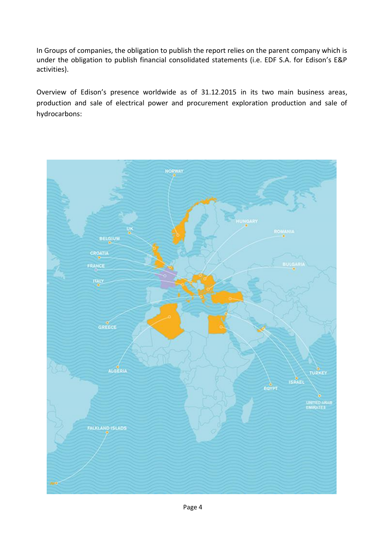In Groups of companies, the obligation to publish the report relies on the parent company which is under the obligation to publish financial consolidated statements (i.e. EDF S.A. for Edison's E&P activities).

Overview of Edison's presence worldwide as of 31.12.2015 in its two main business areas, production and sale of electrical power and procurement exploration production and sale of hydrocarbons:

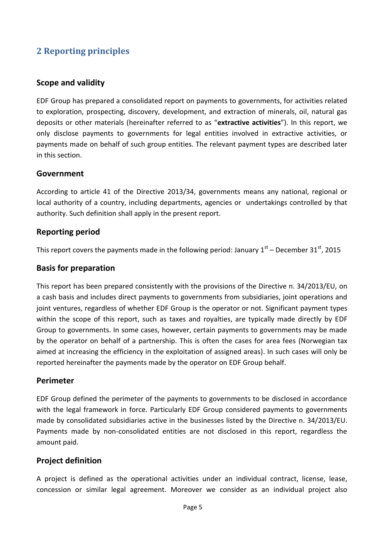# <span id="page-4-0"></span>**2 Reporting principles**

## **Scope and validity**

EDF Group has prepared a consolidated report on payments to governments, for activities related to exploration, prospecting, discovery, development, and extraction of minerals, oil, natural gas deposits or other materials (hereinafter referred to as "**extractive activities**"). In this report, we only disclose payments to governments for legal entities involved in extractive activities, or payments made on behalf of such group entities. The relevant payment types are described later in this section.

## **Government**

According to article 41 of the Directive 2013/34, governments means any national, regional or local authority of a country, including departments, agencies or undertakings controlled by that authority. Such definition shall apply in the present report.

## **Reporting period**

This report covers the payments made in the following period: January  $1<sup>st</sup>$  – December 31<sup>st</sup>, 2015

## **Basis for preparation**

This report has been prepared consistently with the provisions of the Directive n. 34/2013/EU, on a cash basis and includes direct payments to governments from subsidiaries, joint operations and joint ventures, regardless of whether EDF Group is the operator or not. Significant payment types within the scope of this report, such as taxes and royalties, are typically made directly by EDF Group to governments. In some cases, however, certain payments to governments may be made by the operator on behalf of a partnership. This is often the cases for area fees (Norwegian tax aimed at increasing the efficiency in the exploitation of assigned areas). In such cases will only be reported hereinafter the payments made by the operator on EDF Group behalf.

## **Perimeter**

EDF Group defined the perimeter of the payments to governments to be disclosed in accordance with the legal framework in force. Particularly EDF Group considered payments to governments made by consolidated subsidiaries active in the businesses listed by the Directive n. 34/2013/EU. Payments made by non-consolidated entities are not disclosed in this report, regardless the amount paid.

## **Project definition**

A project is defined as the operational activities under an individual contract, license, lease, concession or similar legal agreement. Moreover we consider as an individual project also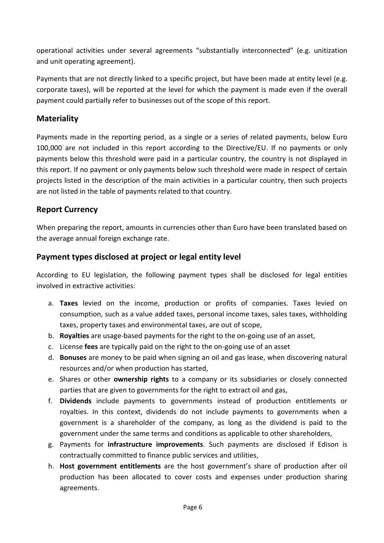operational activities under several agreements "substantially interconnected" (e.g. unitization and unit operating agreement).

Payments that are not directly linked to a specific project, but have been made at entity level (e.g. corporate taxes), will be reported at the level for which the payment is made even if the overall payment could partially refer to businesses out of the scope of this report.

## **Materiality**

Payments made in the reporting period, as a single or a series of related payments, below Euro 100,000 are not included in this report according to the Directive/EU. If no payments or only payments below this threshold were paid in a particular country, the country is not displayed in this report. If no payment or only payments below such threshold were made in respect of certain projects listed in the description of the main activities in a particular country, then such projects are not listed in the table of payments related to that country.

## **Report Currency**

When preparing the report, amounts in currencies other than Euro have been translated based on the average annual foreign exchange rate.

## **Payment types disclosed at project or legal entity level**

According to EU legislation, the following payment types shall be disclosed for legal entities involved in extractive activities:

- a. **Taxes** levied on the income, production or profits of companies. Taxes levied on consumption, such as a value added taxes, personal income taxes, sales taxes, withholding taxes, property taxes and environmental taxes, are out of scope,
- b. **Royalties** are usage-based payments for the right to the on-going use of an asset,
- c. License **fees** are typically paid on the right to the on-going use of an asset
- d. **Bonuses** are money to be paid when signing an oil and gas lease, when discovering natural resources and/or when production has started,
- e. Shares or other **ownership rights** to a company or its subsidiaries or closely connected parties that are given to governments for the right to extract oil and gas,
- f. **Dividends** include payments to governments instead of production entitlements or royalties. In this context, dividends do not include payments to governments when a government is a shareholder of the company, as long as the dividend is paid to the government under the same terms and conditions as applicable to other shareholders,
- g. Payments for **infrastructure improvements**. Such payments are disclosed if Edison is contractually committed to finance public services and utilities,
- h. **Host government entitlements** are the host government's share of production after oil production has been allocated to cover costs and expenses under production sharing agreements.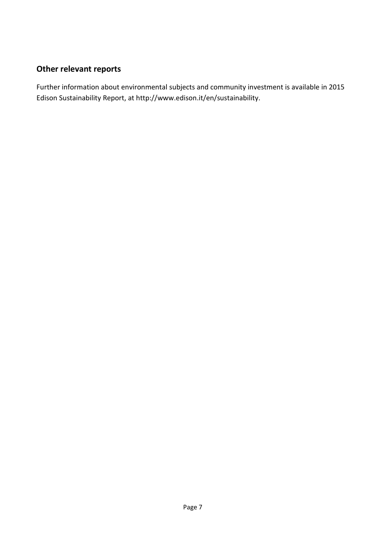# **Other relevant reports**

Further information about environmental subjects and community investment is available in 2015 Edison Sustainability Report, at http://www.edison.it/en/sustainability.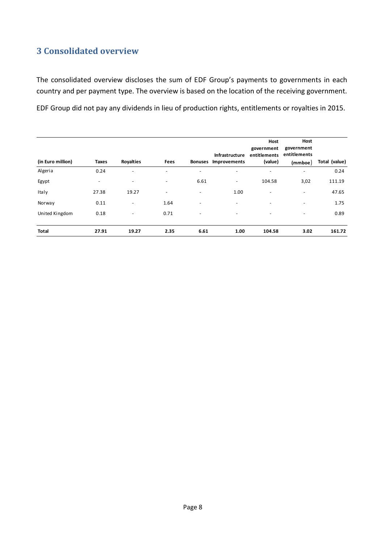# <span id="page-7-0"></span>**3 Consolidated overview**

The consolidated overview discloses the sum of EDF Group's payments to governments in each country and per payment type. The overview is based on the location of the receiving government.

EDF Group did not pay any dividends in lieu of production rights, entitlements or royalties in 2015.

|                   |                          |                          |                          |                              |                          | Host                     | Host                     |               |
|-------------------|--------------------------|--------------------------|--------------------------|------------------------------|--------------------------|--------------------------|--------------------------|---------------|
|                   |                          |                          |                          |                              |                          | government               | government               |               |
|                   |                          |                          |                          |                              | Infrastructure           | entitlements             | entitlements             |               |
| (in Euro million) | Taxes                    | <b>Royalties</b>         | Fees                     |                              | Bonuses Improvements     | (value)                  | (mmboe)                  | Total (value) |
| Algeria           | 0.24                     | ٠                        |                          | $\qquad \qquad \blacksquare$ | ٠                        |                          | $\overline{\phantom{a}}$ | 0.24          |
| Egypt             | $\overline{\phantom{m}}$ | $\overline{\phantom{a}}$ | $\overline{\phantom{a}}$ | 6.61                         | $\overline{\phantom{a}}$ | 104.58                   | 3,02                     | 111.19        |
| Italy             | 27.38                    | 19.27                    | $\overline{\phantom{0}}$ | $\overline{\phantom{a}}$     | 1.00                     | $\overline{\phantom{m}}$ | $\overline{\phantom{a}}$ | 47.65         |
| Norway            | 0.11                     | $\overline{\phantom{a}}$ | 1.64                     | $\overline{\phantom{a}}$     | $\overline{\phantom{a}}$ |                          | $\overline{\phantom{a}}$ | 1.75          |
| United Kingdom    | 0.18                     | $\blacksquare$           | 0.71                     | $\overline{\phantom{a}}$     | $\overline{\phantom{a}}$ | $\overline{\phantom{a}}$ | $\overline{\phantom{a}}$ | 0.89          |
| Total             | 27.91                    | 19.27                    | 2.35                     | 6.61                         | 1.00                     | 104.58                   | 3.02                     | 161.72        |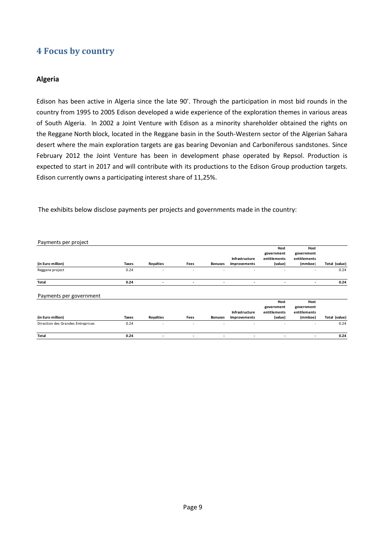## <span id="page-8-0"></span>**4 Focus by country**

### <span id="page-8-1"></span>**Algeria**

Edison has been active in Algeria since the late 90'. Through the participation in most bid rounds in the country from 1995 to 2005 Edison developed a wide experience of the exploration themes in various areas of South Algeria. In 2002 a Joint Venture with Edison as a minority shareholder obtained the rights on the Reggane North block, located in the Reggane basin in the South-Western sector of the Algerian Sahara desert where the main exploration targets are gas bearing Devonian and Carboniferous sandstones. Since February 2012 the Joint Venture has been in development phase operated by Repsol. Production is expected to start in 2017 and will contribute with its productions to the Edison Group production targets. Edison currently owns a participating interest share of 11,25%.

The exhibits below disclose payments per projects and governments made in the country:

| Payments per project              |              |           |                          |                |                                |                                               |                                               |               |
|-----------------------------------|--------------|-----------|--------------------------|----------------|--------------------------------|-----------------------------------------------|-----------------------------------------------|---------------|
| (in Euro million)                 | <b>Taxes</b> | Royalties | Fees                     | <b>Bonuses</b> | Infrastructure<br>Improvements | Host<br>government<br>entitlements<br>(value) | Host<br>government<br>entitlements<br>(mmboe) | Total (value) |
| Reggane project                   | 0.24         | ۰         | $\overline{\phantom{a}}$ |                |                                |                                               | ۰                                             | 0.24          |
| Total                             | 0.24         | ٠         | ٠                        | ٠              | ۰                              | $\overline{\phantom{a}}$                      | ۰.                                            | 0.24          |
| Payments per government           |              |           |                          |                |                                |                                               |                                               |               |
|                                   |              |           |                          |                | Infrastructure                 | Host<br>government<br>entitlements            | Host<br>government<br>entitlements            |               |
| (in Euro million)                 | <b>Taxes</b> | Royalties | Fees                     | <b>Bonuses</b> | Improvements                   | (value)                                       | (mmboe)                                       | Total (value) |
| Direction des Grandes Entreprises | 0.24         | ٠         | $\overline{\phantom{a}}$ |                |                                |                                               | $\overline{\phantom{a}}$                      | 0.24          |
| Total                             | 0.24         | ٠         | ٠                        | ۰              |                                |                                               | ٠                                             | 0.24          |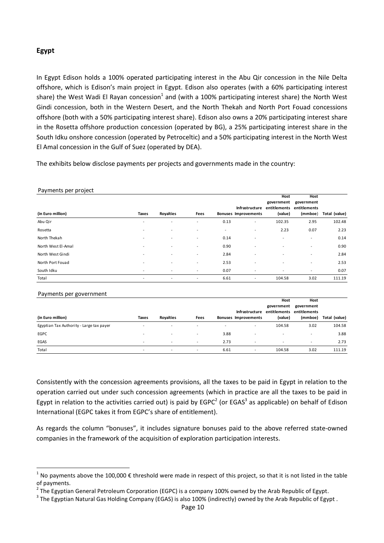## <span id="page-9-0"></span>**Egypt**

In Egypt Edison holds a 100% operated participating interest in the Abu Qir concession in the Nile Delta offshore, which is Edison's main project in Egypt. Edison also operates (with a 60% participating interest share) the West Wadi El Rayan concession<sup>1</sup> and (with a 100% participating interest share) the North West Gindi concession, both in the Western Desert, and the North Thekah and North Port Fouad concessions offshore (both with a 50% participating interest share). Edison also owns a 20% participating interest share in the Rosetta offshore production concession (operated by BG), a 25% participating interest share in the South Idku onshore concession (operated by Petroceltic) and a 50% participating interest in the North West El Amal concession in the Gulf of Suez (operated by DEA).

The exhibits below disclose payments per projects and governments made in the country:

| Payments per project                                                                                                                                                                                                                                                                                                                                                                       |              |                  |                          |      |                             | Host                                                 | Host                                  |               |
|--------------------------------------------------------------------------------------------------------------------------------------------------------------------------------------------------------------------------------------------------------------------------------------------------------------------------------------------------------------------------------------------|--------------|------------------|--------------------------|------|-----------------------------|------------------------------------------------------|---------------------------------------|---------------|
| (in Euro million)                                                                                                                                                                                                                                                                                                                                                                          | <b>Taxes</b> | <b>Royalties</b> | Fees                     |      | <b>Bonuses Improvements</b> | government<br>Infrastructure entitlements<br>(value) | government<br>entitlements<br>(mmboe) | Total (value) |
| Abu Qir                                                                                                                                                                                                                                                                                                                                                                                    |              |                  |                          | 0.13 |                             | 102.35                                               | 2.95                                  | 102.48        |
| <b>Rosetta</b>                                                                                                                                                                                                                                                                                                                                                                             |              |                  |                          |      |                             | 2.23                                                 | 0.07                                  | 2.23          |
| North Thekah                                                                                                                                                                                                                                                                                                                                                                               |              |                  |                          | 0.14 |                             |                                                      |                                       | 0.14          |
| North West El-Amal                                                                                                                                                                                                                                                                                                                                                                         |              |                  |                          | 0.90 |                             |                                                      |                                       | 0.90          |
| North West Gindi                                                                                                                                                                                                                                                                                                                                                                           |              |                  |                          | 2.84 |                             |                                                      |                                       | 2.84          |
| North Port Fouad                                                                                                                                                                                                                                                                                                                                                                           |              |                  |                          | 2.53 |                             |                                                      |                                       | 2.53          |
| South Idku                                                                                                                                                                                                                                                                                                                                                                                 |              |                  |                          | 0.07 |                             |                                                      |                                       | 0.07          |
| Total                                                                                                                                                                                                                                                                                                                                                                                      |              |                  |                          | 6.61 | $\overline{a}$              | 104.58                                               | 3.02                                  | 111.19        |
|                                                                                                                                                                                                                                                                                                                                                                                            |              |                  |                          |      |                             |                                                      |                                       |               |
| Payments per government                                                                                                                                                                                                                                                                                                                                                                    |              |                  |                          |      |                             |                                                      |                                       |               |
|                                                                                                                                                                                                                                                                                                                                                                                            |              |                  |                          |      |                             | Host<br>government                                   | Host<br>government                    |               |
|                                                                                                                                                                                                                                                                                                                                                                                            |              |                  |                          |      | Infrastructure              | entitlements                                         | entitlements                          |               |
| (in Euro million)                                                                                                                                                                                                                                                                                                                                                                          | Taxes        | <b>Royalties</b> | Fees                     |      | <b>Bonuses Improvements</b> | (value)                                              | (mmboe)                               | Total (value) |
| Egyptian Tax Authority - Large tax payer                                                                                                                                                                                                                                                                                                                                                   |              |                  |                          |      |                             | 104.58                                               | 3.02                                  | 104.58        |
| <b>EGPC</b>                                                                                                                                                                                                                                                                                                                                                                                |              |                  |                          | 3.88 |                             |                                                      |                                       | 3.88          |
| EGAS                                                                                                                                                                                                                                                                                                                                                                                       |              |                  |                          | 2.73 |                             |                                                      |                                       | 2.73          |
| Total                                                                                                                                                                                                                                                                                                                                                                                      |              | $\sim$           | $\overline{\phantom{a}}$ | 6.61 | $\overline{a}$              | 104.58                                               | 3.02                                  | 111.19        |
| Consistently with the concession agreements provisions, all the taxes to be paid in Egypt in relation to the<br>operation carried out under such concession agreements (which in practice are all the taxes to be paid in                                                                                                                                                                  |              |                  |                          |      |                             |                                                      |                                       |               |
| Egypt in relation to the activities carried out) is paid by EGPC <sup>2</sup> (or EGAS <sup>3</sup> as applicable) on behalf of Edison                                                                                                                                                                                                                                                     |              |                  |                          |      |                             |                                                      |                                       |               |
| International (EGPC takes it from EGPC's share of entitlement).                                                                                                                                                                                                                                                                                                                            |              |                  |                          |      |                             |                                                      |                                       |               |
| As regards the column "bonuses", it includes signature bonuses paid to the above referred state-owned<br>companies in the framework of the acquisition of exploration participation interests.                                                                                                                                                                                             |              |                  |                          |      |                             |                                                      |                                       |               |
| <sup>1</sup> No payments above the 100,000 € threshold were made in respect of this project, so that it is not listed in the table<br>of payments.<br>$^2$ The Egyptian General Petroleum Corporation (EGPC) is a company 100% owned by the Arab Republic of Egypt.<br>$^3$ The Egyptian Natural Gas Holding Company (EGAS) is also 100% (indirectly) owned by the Arab Republic of Egypt. |              |                  |                          |      |                             |                                                      |                                       |               |

#### Payments per government

| $\tilde{\phantom{a}}$                    |                          |                          |                          |                          |                          | Host                      | Host                     |               |
|------------------------------------------|--------------------------|--------------------------|--------------------------|--------------------------|--------------------------|---------------------------|--------------------------|---------------|
|                                          |                          |                          |                          |                          |                          | government                | government               |               |
|                                          |                          |                          |                          |                          | Infrastructure           | entitlements entitlements |                          |               |
| (in Euro million)                        | Taxes                    | <b>Rovalties</b>         | Fees                     |                          | Bonuses Improvements     | (value)                   | (mmboe)                  | Total (value) |
| Egyptian Tax Authority - Large tax payer |                          | $\sim$                   |                          | $\overline{\phantom{a}}$ | $\overline{\phantom{a}}$ | 104.58                    | 3.02                     | 104.58        |
| EGPC                                     |                          | $\overline{\phantom{a}}$ | $\overline{\phantom{a}}$ | 3.88                     | $\overline{\phantom{a}}$ |                           | $\overline{\phantom{a}}$ | 3.88          |
| EGAS                                     | $\overline{\phantom{a}}$ | $\sim$                   | $\sim$                   | 2.73                     | $\overline{\phantom{a}}$ | $\overline{\phantom{a}}$  | $\overline{\phantom{a}}$ | 2.73          |
| Total                                    |                          | $\overline{\phantom{a}}$ | $\overline{\phantom{a}}$ | 6.61                     | $\overline{\phantom{a}}$ | 104.58                    | 3.02                     | 111.19        |

<sup>&</sup>lt;sup>1</sup> No payments above the 100,000  $\epsilon$  threshold were made in respect of this project, so that it is not listed in the table of payments.

<sup>&</sup>lt;sup>2</sup> The Egyptian General Petroleum Corporation (EGPC) is a company 100% owned by the Arab Republic of Egypt.

<sup>&</sup>lt;sup>3</sup> The Egyptian Natural Gas Holding Company (EGAS) is also 100% (indirectly) owned by the Arab Republic of Egypt.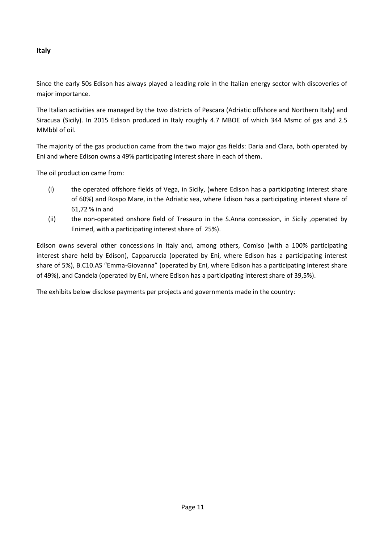## <span id="page-10-0"></span>**Italy**

Since the early 50s Edison has always played a leading role in the Italian energy sector with discoveries of major importance.

The Italian activities are managed by the two districts of Pescara (Adriatic offshore and Northern Italy) and Siracusa (Sicily). In 2015 Edison produced in Italy roughly 4.7 MBOE of which 344 Msmc of gas and 2.5 MMbbl of oil.

The majority of the gas production came from the two major gas fields: Daria and Clara, both operated by Eni and where Edison owns a 49% participating interest share in each of them.

The oil production came from:

- (i) the operated offshore fields of Vega, in Sicily, (where Edison has a participating interest share of 60%) and Rospo Mare, in the Adriatic sea, where Edison has a participating interest share of 61,72 % in and
- (ii) the non-operated onshore field of Tresauro in the S.Anna concession, in Sicily ,operated by Enimed, with a participating interest share of 25%).

Edison owns several other concessions in Italy and, among others, Comiso (with a 100% participating interest share held by Edison), Capparuccia (operated by Eni, where Edison has a participating interest share of 5%), B.C10.AS "Emma-Giovanna" (operated by Eni, where Edison has a participating interest share of 49%), and Candela (operated by Eni, where Edison has a participating interest share of 39,5%).

The exhibits below disclose payments per projects and governments made in the country: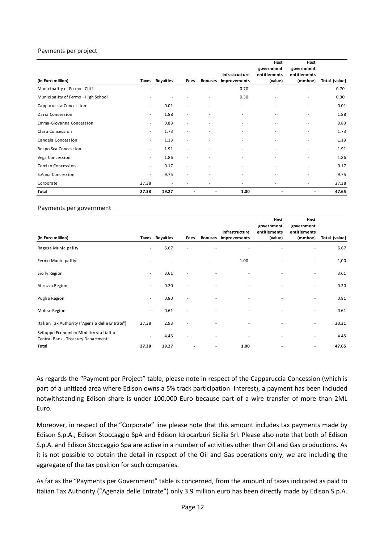#### Payments per project

| (in Euro million)                   |                          | Taxes Royalties          | Fees                     | <b>Bonuses</b>           | Infrastructure<br>Improvements | Host<br>government<br>entitlements<br>(value) | Host<br>government<br>entitlements<br>(mmboe) | Total (value) |
|-------------------------------------|--------------------------|--------------------------|--------------------------|--------------------------|--------------------------------|-----------------------------------------------|-----------------------------------------------|---------------|
| Municipality of Fermo - Cliff       |                          |                          |                          |                          | 0.70                           |                                               | $\overline{\phantom{a}}$                      | 0.70          |
| Municipality of Fermo - High School | ٠                        | ٠                        | ٠                        | $\blacksquare$           | 0.30                           | ٠                                             | ٠                                             | 0.30          |
| Capparuccia Concession              | $\sim$                   | 0.01                     | $\sim$                   | $\blacksquare$           | $\overline{\phantom{a}}$       | $\overline{\phantom{a}}$                      | ٠                                             | 0.01          |
| Daria Concession                    | $\sim$                   | 1.88                     | $\overline{\phantom{a}}$ | $\blacksquare$           | ٠                              | $\blacksquare$                                | ٠                                             | 1.88          |
| Emma-Giovanna Concession            | $\sim$                   | 0.83                     | $\sim$                   | $\blacksquare$           | ٠                              | ٠                                             | ٠                                             | 0.83          |
| Clara Concession                    | $\sim$                   | 1.73                     | $\sim$                   | $\blacksquare$           | ٠                              | $\overline{\phantom{a}}$                      | ٠                                             | 1.73          |
| Candela Concession                  | $\sim$                   | 1.13                     | $\overline{\phantom{a}}$ | $\blacksquare$           | ٠                              | $\overline{\phantom{a}}$                      | ٠                                             | 1.13          |
| Rospo Sea Concession                | $\sim$                   | 1.91                     | $\sim$                   | $\blacksquare$           | ٠                              | ٠                                             | ٠                                             | 1.91          |
| Vega Concession                     | $\overline{\phantom{a}}$ | 1.86                     | $\sim$                   | $\overline{\phantom{a}}$ | $\overline{\phantom{a}}$       | $\overline{\phantom{a}}$                      | ٠                                             | 1.86          |
| Comiso Concession                   | $\overline{\phantom{a}}$ | 0.17                     | $\overline{\phantom{a}}$ | $\blacksquare$           | ٠                              | $\overline{\phantom{a}}$                      | ٠                                             | 0.17          |
| S.Anna Concession                   | ٠                        | 9.75                     | $\sim$                   | $\blacksquare$           | ٠                              | ٠                                             | ٠                                             | 9.75          |
| Corporate                           | 27.38                    | $\overline{\phantom{a}}$ | $\overline{\phantom{a}}$ | $\overline{\phantom{a}}$ | ٠.                             | $\overline{\phantom{a}}$                      | ٠                                             | 27.38         |
| <b>Total</b>                        | 27.38                    | 19.27                    |                          |                          | 1.00                           | $\overline{\phantom{a}}$                      | $\overline{\phantom{a}}$                      | 47.65         |

#### Payments per government

|                                                                               |                          |                 |                          |                          | Infrastructure           | Host<br>government<br>entitlements | Host<br>government<br>entitlements |               |
|-------------------------------------------------------------------------------|--------------------------|-----------------|--------------------------|--------------------------|--------------------------|------------------------------------|------------------------------------|---------------|
| (in Euro million)                                                             |                          | Taxes Royalties | Fees                     | <b>Bonuses</b>           | Improvements             | (value)                            | (mmboe)                            | Total (value) |
| Ragusa Municipality                                                           | $\sim$                   | 6.67            |                          |                          | ٠                        | ٠                                  | ٠                                  | 6.67          |
| Fermo Municipality                                                            |                          |                 |                          |                          | 1.00                     |                                    | ٠                                  | 1,00          |
| Sicily Region                                                                 | $\overline{\phantom{a}}$ | 3.61            |                          |                          |                          |                                    |                                    | 3.61          |
| Abruzzo Region                                                                | $\sim$                   | 0.20            | ٠                        |                          | ٠                        |                                    | ٠                                  | 0.20          |
| Puglia Region                                                                 | $\sim$                   | 0.80            |                          |                          | ٠                        |                                    |                                    | 0.81          |
| Molise Region                                                                 | $\sim$                   | 0.61            |                          |                          | ٠                        | ٠                                  | $\overline{\phantom{a}}$           | 0.61          |
| Italian Tax Authority ("Agenzia delle Entrate")                               | 27.38                    | 2.93            |                          |                          |                          |                                    |                                    | 30.31         |
| Sviluppo Economico Ministry via Italian<br>Central Bank - Treasury Department | ٠                        | 4.45            | $\overline{\phantom{a}}$ | $\blacksquare$           | $\overline{\phantom{a}}$ | ٠                                  | ٠                                  | 4.45          |
| Total                                                                         | 27.38                    | 19.27           | $\blacksquare$           | $\overline{\phantom{a}}$ | 1.00                     | $\overline{\phantom{a}}$           | $\overline{\phantom{a}}$           | 47.65         |

As regards the "Payment per Project" table, please note in respect of the Capparuccia Concession (which is part of a unitized area where Edison owns a 5% track participation interest), a payment has been included notwithstanding Edison share is under 100.000 Euro because part of a wire transfer of more than 2ML Euro.

Moreover, in respect of the "Corporate" line please note that this amount includes tax payments made by Edison S.p.A., Edison Stoccaggio SpA and Edison Idrocarburi Sicilia Srl. Please also note that both of Edison S.p.A. and Edison Stoccaggio Spa are active in a number of activities other than Oil and Gas productions. As it is not possible to obtain the detail in respect of the Oil and Gas operations only, we are including the aggregate of the tax position for such companies.

As far as the "Payments per Government" table is concerned, from the amount of taxes indicated as paid to Italian Tax Authority ("Agenzia delle Entrate") only 3.9 million euro has been directly made by Edison S.p.A.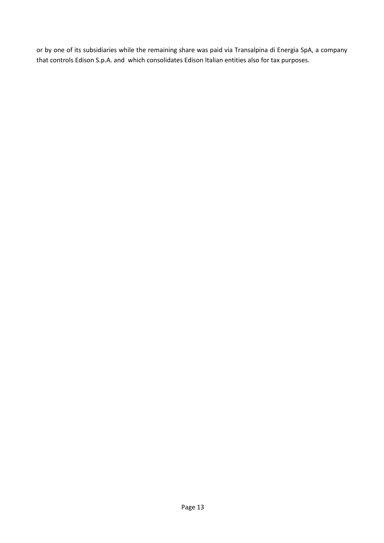or by one of its subsidiaries while the remaining share was paid via Transalpina di Energia SpA, a company that controls Edison S.p.A. and which consolidates Edison Italian entities also for tax purposes.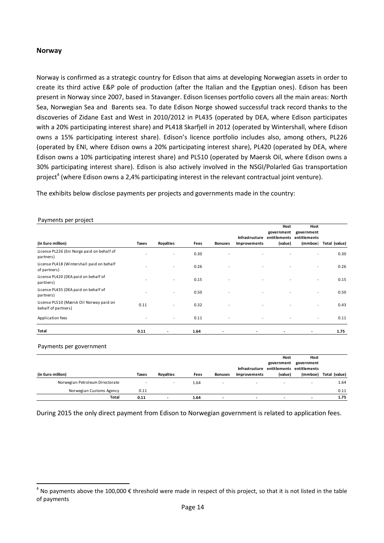### <span id="page-13-0"></span>**Norway**

Norway is confirmed as a strategic country for Edison that aims at developing Norwegian assets in order to create its third active E&P pole of production (after the Italian and the Egyptian ones). Edison has been present in Norway since 2007, based in Stavanger. Edison licenses portfolio covers all the main areas: North Sea, Norwegian Sea and Barents sea. To date Edison Norge showed successful track record thanks to the discoveries of Zidane East and West in 2010/2012 in PL435 (operated by DEA, where Edison participates with a 20% participating interest share) and PL418 Skarfjell in 2012 (operated by Wintershall, where Edison owns a 15% participating interest share). Edison's licence portfolio includes also, among others, PL226 (operated by ENI, where Edison owns a 20% participating interest share), PL420 (operated by DEA, where Edison owns a 10% participating interest share) and PL510 (operated by Maersk Oil, where Edison owns a 30% participating interest share). Edison is also actively involved in the NSGI/Polarled Gas transportation project<sup>4</sup> (where Edison owns a 2,4% participating interest in the relevant contractual joint venture).

The exhibits below disclose payments per projects and governments made in the country:

| Payments per project                                                                                                                              |              |                          |      |                |                                |                                    |                                                            |               |
|---------------------------------------------------------------------------------------------------------------------------------------------------|--------------|--------------------------|------|----------------|--------------------------------|------------------------------------|------------------------------------------------------------|---------------|
| (in Euro million)                                                                                                                                 | <b>Taxes</b> | <b>Royalties</b>         | Fees | <b>Bonuses</b> | Infrastructure<br>Improvements | Host<br>government<br>(value)      | Host<br>government<br>entitlements entitlements<br>(mmboe) | Total (value) |
| License PL226 (Eni Norge paid on behalf of                                                                                                        |              |                          | 0.30 |                |                                |                                    |                                                            | 0.30          |
| partners)                                                                                                                                         |              |                          |      |                |                                |                                    |                                                            |               |
| License PL418 (Wintershall paid on behalf<br>of partners)                                                                                         |              |                          | 0.26 |                |                                |                                    |                                                            | 0.26          |
| License PL420 (DEA paid on behalf of<br>partners)                                                                                                 |              |                          | 0.15 |                |                                |                                    |                                                            | 0.15          |
| License PL435 (DEA paid on behalf of<br>partners)                                                                                                 |              |                          | 0.50 |                |                                |                                    |                                                            | 0.50          |
| License PL510 (Mærsk Oil Norway paid on<br>behalf of partners)                                                                                    | 0.11         |                          | 0.32 |                |                                |                                    |                                                            | 0.43          |
| Application fees                                                                                                                                  |              | ä,                       | 0.11 |                |                                |                                    |                                                            | 0.11          |
| Total                                                                                                                                             | 0.11         |                          | 1.64 |                |                                |                                    |                                                            | 1.75          |
| Payments per government                                                                                                                           |              |                          |      |                | Infrastructure                 | Host<br>government<br>entitlements | Host<br>government<br>entitlements                         |               |
| (in Euro million)                                                                                                                                 | <b>Taxes</b> | <b>Royalties</b>         | Fees | <b>Bonuses</b> | Improvements                   | (value)                            | (mmboe)                                                    | Total (value) |
| Norwegian Petroleum Directorate                                                                                                                   |              |                          | 1.64 |                |                                |                                    |                                                            | 1.64          |
| Norwegian Customs Agency                                                                                                                          | 0.11         |                          |      |                |                                |                                    |                                                            | 0.11          |
| <b>Total</b>                                                                                                                                      | 0.11         | $\overline{\phantom{a}}$ | 1.64 | $\overline{a}$ | $\overline{\phantom{a}}$       | $\overline{\phantom{a}}$           | $\overline{\phantom{a}}$                                   | 1.75          |
| During 2015 the only direct payment from Edison to Norwegian government is related to application fees.                                           |              |                          |      |                |                                |                                    |                                                            |               |
| $4$ No payments above the 100,000 $\epsilon$ threshold were made in respect of this project, so that it is not listed in the table<br>of payments |              |                          |      |                |                                |                                    |                                                            |               |

#### Payments per government

| (in Euro million)               | <b>Taxes</b> | <b>Rovalties</b>         | Fees | <b>Bonuses</b> | Infrastructure entitlements entitlements<br><b>Improvements</b> | Host<br>government<br>(value) | Host<br>government<br>(mmboe) | Total (value) |
|---------------------------------|--------------|--------------------------|------|----------------|-----------------------------------------------------------------|-------------------------------|-------------------------------|---------------|
| Norwegian Petroleum Directorate |              | $\overline{\phantom{a}}$ | 1.64 |                | $\overline{\phantom{a}}$                                        | $\sim$                        |                               | 1.64          |
| Norwegian Customs Agency        | 0.11         |                          |      |                |                                                                 |                               |                               | 0.11          |
| <b>Total</b>                    | 0.11         |                          | 1.64 |                | $\overline{\phantom{a}}$                                        | $\overline{\phantom{0}}$      |                               | 1.75          |

 $^4$  No payments above the 100,000  $\epsilon$  threshold were made in respect of this project, so that it is not listed in the table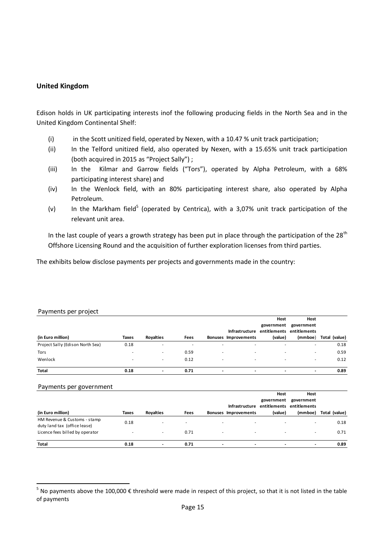### <span id="page-14-0"></span>**United Kingdom**

Edison holds in UK participating interests inof the following producing fields in the North Sea and in the United Kingdom Continental Shelf:

- (i) in the Scott unitized field, operated by Nexen, with a 10.47 % unit track participation;
- (ii) In the Telford unitized field, also operated by Nexen, with a 15.65% unit track participation (both acquired in 2015 as "Project Sally") ;
- (iii) In the Kilmar and Garrow fields ("Tors"), operated by Alpha Petroleum, with a 68% participating interest share) and
- (iv) In the Wenlock field, with an 80% participating interest share, also operated by Alpha Petroleum.
- (v) In the Markham field<sup>5</sup> (operated by Centrica), with a 3,07% unit track participation of the relevant unit area.

In the last couple of years a growth strategy has been put in place through the participation of the 28<sup>th</sup> Offshore Licensing Round and the acquisition of further exploration licenses from third parties.

The exhibits below disclose payments per projects and governments made in the country:

|                                  |                          |                          |                          |   |                          | Host       | Host                      |               |
|----------------------------------|--------------------------|--------------------------|--------------------------|---|--------------------------|------------|---------------------------|---------------|
|                                  |                          |                          |                          |   |                          | government | government                |               |
|                                  |                          |                          |                          |   | Infrastructure           |            | entitlements entitlements |               |
| (in Euro million)                | Taxes                    | <b>Rovalties</b>         | Fees                     |   | Bonuses Improvements     | (value)    | (mmboe)                   | Total (value) |
| Project Sally (Edison North Sea) | 0.18                     | $\overline{\phantom{a}}$ | $\overline{\phantom{a}}$ |   |                          |            |                           | 0.18          |
| Tors                             | $\overline{\phantom{a}}$ | ٠                        | 0.59                     |   | $\overline{\phantom{a}}$ | ۰          |                           | 0.59          |
| Wenlock                          | $\overline{\phantom{a}}$ | $\sim$                   | 0.12                     |   | $\overline{\phantom{a}}$ | ۰          |                           | 0.12          |
| <b>Total</b>                     | 0.18                     | $\overline{\phantom{a}}$ | 0.71                     | - | $\overline{\phantom{a}}$ | -          | $\overline{\phantom{a}}$  | 0.89          |

#### Payments per government

| Payments per project                                                                                                               |              |                          |                          |                          |                          | Host                                     | Host                      |               |
|------------------------------------------------------------------------------------------------------------------------------------|--------------|--------------------------|--------------------------|--------------------------|--------------------------|------------------------------------------|---------------------------|---------------|
|                                                                                                                                    |              |                          |                          |                          |                          | government                               | government                |               |
|                                                                                                                                    |              |                          |                          |                          |                          | Infrastructure entitlements entitlements |                           |               |
| (in Euro million)                                                                                                                  | <b>Taxes</b> | Royalties                | Fees                     |                          | Bonuses Improvements     | (value)                                  | (mmboe)                   | Total (value) |
| Project Sally (Edison North Sea)                                                                                                   | 0.18         | ٠                        | $\overline{\phantom{a}}$ |                          |                          |                                          |                           | 0.18          |
| Tors                                                                                                                               |              | $\overline{\phantom{a}}$ | 0.59                     |                          |                          |                                          |                           | 0.59          |
| Wenlock                                                                                                                            |              | ٠                        | 0.12                     |                          |                          |                                          |                           | 0.12          |
| <b>Total</b>                                                                                                                       | 0.18         | $\blacksquare$           | 0.71                     | $\blacksquare$           | ÷,                       | $\overline{\phantom{a}}$                 | $\overline{\phantom{a}}$  | 0.89          |
| Payments per government                                                                                                            |              |                          |                          |                          |                          |                                          |                           |               |
|                                                                                                                                    |              |                          |                          |                          |                          | Host                                     | Host                      |               |
|                                                                                                                                    |              |                          |                          |                          |                          | government                               | government                |               |
|                                                                                                                                    |              |                          |                          |                          | Infrastructure           |                                          | entitlements entitlements |               |
| (in Euro million)                                                                                                                  | <b>Taxes</b> | Royalties                | Fees                     |                          | Bonuses Improvements     | (value)                                  | (mmboe)                   | Total (value) |
| HM Revenue & Customs - stamp<br>duty land tax (office lease)                                                                       | 0.18         |                          |                          |                          |                          |                                          |                           | 0.18          |
| Licence fees billed by operator                                                                                                    |              | ٠                        | 0.71                     |                          |                          |                                          |                           | 0.71          |
| <b>Total</b>                                                                                                                       | 0.18         | $\overline{\phantom{a}}$ | 0.71                     | $\overline{\phantom{a}}$ | $\overline{\phantom{a}}$ | $\overline{\phantom{a}}$                 | $\overline{\phantom{a}}$  | 0.89          |
|                                                                                                                                    |              |                          |                          |                          |                          |                                          |                           |               |
|                                                                                                                                    |              |                          |                          |                          |                          |                                          |                           |               |
|                                                                                                                                    |              |                          |                          |                          |                          |                                          |                           |               |
|                                                                                                                                    |              |                          |                          |                          |                          |                                          |                           |               |
| <sup>5</sup> No payments above the 100,000 € threshold were made in respect of this project, so that it is not listed in the table |              |                          |                          |                          |                          |                                          |                           |               |

 $^5$  No payments above the 100,000  $\epsilon$  threshold were made in respect of this project, so that it is not listed in the table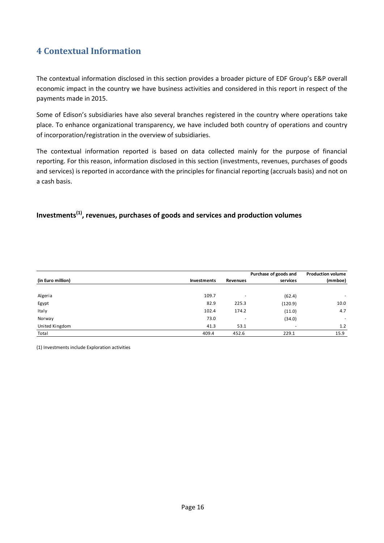# <span id="page-15-0"></span>**4 Contextual Information**

The contextual information disclosed in this section provides a broader picture of EDF Group's E&P overall economic impact in the country we have business activities and considered in this report in respect of the payments made in 2015.

Some of Edison's subsidiaries have also several branches registered in the country where operations take place. To enhance organizational transparency, we have included both country of operations and country of incorporation/registration in the overview of subsidiaries.

The contextual information reported is based on data collected mainly for the purpose of financial reporting. For this reason, information disclosed in this section (investments, revenues, purchases of goods and services) is reported in accordance with the principles for financial reporting (accruals basis) and not on a cash basis.

# <span id="page-15-1"></span>**Investments(1), revenues, purchases of goods and services and production volumes**

|                   |             |                          | Purchase of goods and    | <b>Production volume</b> |
|-------------------|-------------|--------------------------|--------------------------|--------------------------|
| (in Euro million) | Investments | <b>Revenues</b>          | services                 | (mmboe)                  |
|                   |             |                          |                          |                          |
| Algeria           | 109.7       | -                        | (62.4)                   |                          |
| Egypt             | 82.9        | 225.3                    | (120.9)                  | 10.0                     |
| Italy             | 102.4       | 174.2                    | (11.0)                   | 4.7                      |
| Norway            | 73.0        | $\overline{\phantom{a}}$ | (34.0)                   | ٠                        |
| United Kingdom    | 41.3        | 53.1                     | $\overline{\phantom{a}}$ | 1.2                      |
| Total             | 409.4       | 452.6                    | 229.1                    | 15.9                     |

(1) Investments include Exploration activities